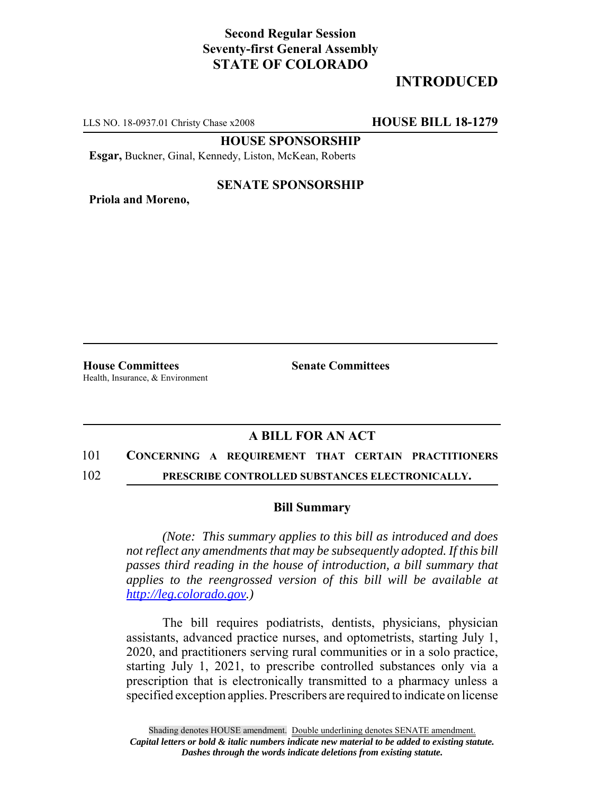## **Second Regular Session Seventy-first General Assembly STATE OF COLORADO**

# **INTRODUCED**

LLS NO. 18-0937.01 Christy Chase x2008 **HOUSE BILL 18-1279**

**HOUSE SPONSORSHIP**

**Esgar,** Buckner, Ginal, Kennedy, Liston, McKean, Roberts

#### **SENATE SPONSORSHIP**

**Priola and Moreno,**

**House Committees Senate Committees** Health, Insurance, & Environment

### **A BILL FOR AN ACT**

### 101 **CONCERNING A REQUIREMENT THAT CERTAIN PRACTITIONERS**

102 **PRESCRIBE CONTROLLED SUBSTANCES ELECTRONICALLY.**

#### **Bill Summary**

*(Note: This summary applies to this bill as introduced and does not reflect any amendments that may be subsequently adopted. If this bill passes third reading in the house of introduction, a bill summary that applies to the reengrossed version of this bill will be available at http://leg.colorado.gov.)*

The bill requires podiatrists, dentists, physicians, physician assistants, advanced practice nurses, and optometrists, starting July 1, 2020, and practitioners serving rural communities or in a solo practice, starting July 1, 2021, to prescribe controlled substances only via a prescription that is electronically transmitted to a pharmacy unless a specified exception applies. Prescribers are required to indicate on license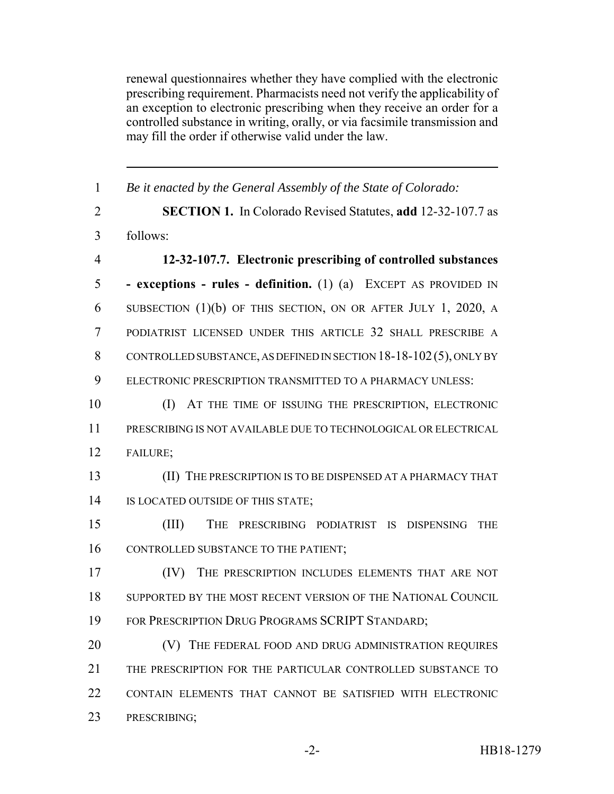renewal questionnaires whether they have complied with the electronic prescribing requirement. Pharmacists need not verify the applicability of an exception to electronic prescribing when they receive an order for a controlled substance in writing, orally, or via facsimile transmission and may fill the order if otherwise valid under the law.

| $\mathbf{1}$   | Be it enacted by the General Assembly of the State of Colorado:      |
|----------------|----------------------------------------------------------------------|
| $\overline{2}$ | <b>SECTION 1.</b> In Colorado Revised Statutes, add 12-32-107.7 as   |
| 3              | follows:                                                             |
| $\overline{4}$ | 12-32-107.7. Electronic prescribing of controlled substances         |
| 5              | - exceptions - rules - definition. (1) (a) EXCEPT AS PROVIDED IN     |
| 6              | SUBSECTION $(1)(b)$ OF THIS SECTION, ON OR AFTER JULY 1, 2020, A     |
| $\tau$         | PODIATRIST LICENSED UNDER THIS ARTICLE 32 SHALL PRESCRIBE A          |
| 8              | CONTROLLED SUBSTANCE, AS DEFINED IN SECTION $18-18-102(5)$ , ONLY BY |
| 9              | ELECTRONIC PRESCRIPTION TRANSMITTED TO A PHARMACY UNLESS:            |
| 10             | (I) AT THE TIME OF ISSUING THE PRESCRIPTION, ELECTRONIC              |
| 11             | PRESCRIBING IS NOT AVAILABLE DUE TO TECHNOLOGICAL OR ELECTRICAL      |
| 12             | FAILURE;                                                             |
| 13             | (II) THE PRESCRIPTION IS TO BE DISPENSED AT A PHARMACY THAT          |
| 14             | IS LOCATED OUTSIDE OF THIS STATE;                                    |
| 15             | (III)<br>THE PRESCRIBING PODIATRIST IS DISPENSING<br><b>THE</b>      |
| 16             | CONTROLLED SUBSTANCE TO THE PATIENT;                                 |
| 17             | THE PRESCRIPTION INCLUDES ELEMENTS THAT ARE NOT<br>(IV)              |
| 18             | SUPPORTED BY THE MOST RECENT VERSION OF THE NATIONAL COUNCIL         |
| 19             | FOR PRESCRIPTION DRUG PROGRAMS SCRIPT STANDARD;                      |
| 20             | THE FEDERAL FOOD AND DRUG ADMINISTRATION REQUIRES                    |
| 21             | THE PRESCRIPTION FOR THE PARTICULAR CONTROLLED SUBSTANCE TO          |
| 22             | CONTAIN ELEMENTS THAT CANNOT BE SATISFIED WITH ELECTRONIC            |
| 23             | PRESCRIBING;                                                         |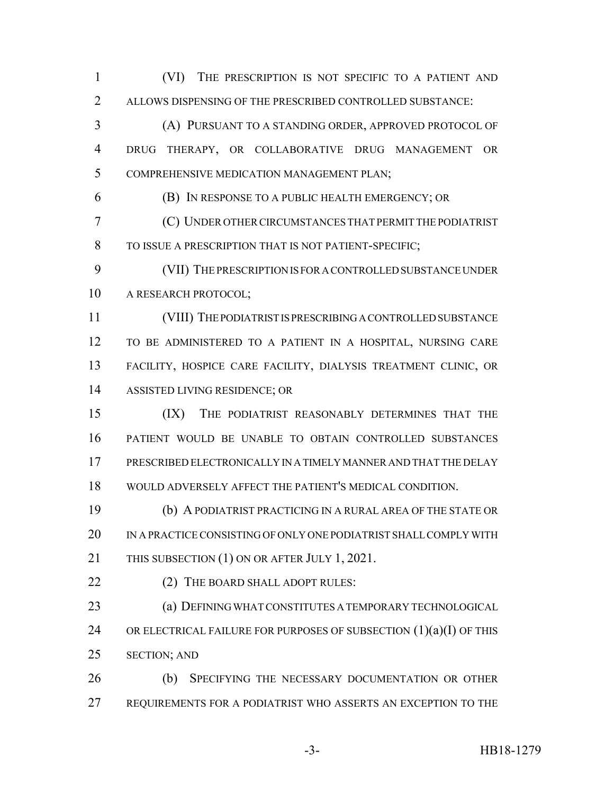(VI) THE PRESCRIPTION IS NOT SPECIFIC TO A PATIENT AND ALLOWS DISPENSING OF THE PRESCRIBED CONTROLLED SUBSTANCE: (A) PURSUANT TO A STANDING ORDER, APPROVED PROTOCOL OF DRUG THERAPY, OR COLLABORATIVE DRUG MANAGEMENT OR

COMPREHENSIVE MEDICATION MANAGEMENT PLAN;

(B) IN RESPONSE TO A PUBLIC HEALTH EMERGENCY; OR

 (C) UNDER OTHER CIRCUMSTANCES THAT PERMIT THE PODIATRIST TO ISSUE A PRESCRIPTION THAT IS NOT PATIENT-SPECIFIC;

 (VII) THE PRESCRIPTION IS FOR A CONTROLLED SUBSTANCE UNDER A RESEARCH PROTOCOL;

 (VIII) THE PODIATRIST IS PRESCRIBING A CONTROLLED SUBSTANCE TO BE ADMINISTERED TO A PATIENT IN A HOSPITAL, NURSING CARE FACILITY, HOSPICE CARE FACILITY, DIALYSIS TREATMENT CLINIC, OR ASSISTED LIVING RESIDENCE; OR

 (IX) THE PODIATRIST REASONABLY DETERMINES THAT THE PATIENT WOULD BE UNABLE TO OBTAIN CONTROLLED SUBSTANCES PRESCRIBED ELECTRONICALLY IN A TIMELY MANNER AND THAT THE DELAY WOULD ADVERSELY AFFECT THE PATIENT'S MEDICAL CONDITION.

 (b) A PODIATRIST PRACTICING IN A RURAL AREA OF THE STATE OR IN A PRACTICE CONSISTING OF ONLY ONE PODIATRIST SHALL COMPLY WITH 21 THIS SUBSECTION (1) ON OR AFTER JULY 1, 2021.

22 (2) THE BOARD SHALL ADOPT RULES:

 (a) DEFINING WHAT CONSTITUTES A TEMPORARY TECHNOLOGICAL 24 OR ELECTRICAL FAILURE FOR PURPOSES OF SUBSECTION  $(1)(a)(I)$  OF THIS SECTION; AND

 (b) SPECIFYING THE NECESSARY DOCUMENTATION OR OTHER REQUIREMENTS FOR A PODIATRIST WHO ASSERTS AN EXCEPTION TO THE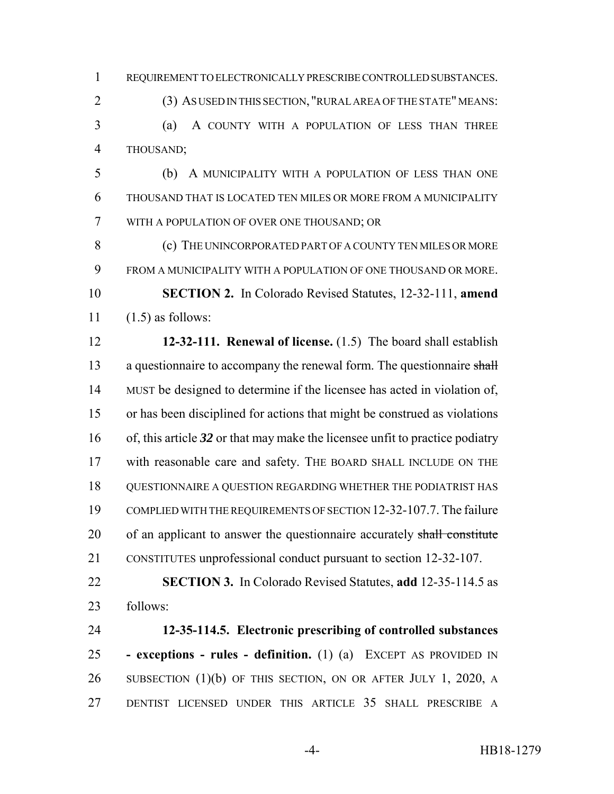REQUIREMENT TO ELECTRONICALLY PRESCRIBE CONTROLLED SUBSTANCES.

(3) AS USED IN THIS SECTION, "RURAL AREA OF THE STATE" MEANS:

 (a) A COUNTY WITH A POPULATION OF LESS THAN THREE THOUSAND;

 (b) A MUNICIPALITY WITH A POPULATION OF LESS THAN ONE THOUSAND THAT IS LOCATED TEN MILES OR MORE FROM A MUNICIPALITY WITH A POPULATION OF OVER ONE THOUSAND; OR

**(c)** THE UNINCORPORATED PART OF A COUNTY TEN MILES OR MORE FROM A MUNICIPALITY WITH A POPULATION OF ONE THOUSAND OR MORE.

 **SECTION 2.** In Colorado Revised Statutes, 12-32-111, **amend**  $11 \quad (1.5)$  as follows:

 **12-32-111. Renewal of license.** (1.5) The board shall establish 13 a questionnaire to accompany the renewal form. The questionnaire shall MUST be designed to determine if the licensee has acted in violation of, or has been disciplined for actions that might be construed as violations of, this article *32* or that may make the licensee unfit to practice podiatry with reasonable care and safety. THE BOARD SHALL INCLUDE ON THE QUESTIONNAIRE A QUESTION REGARDING WHETHER THE PODIATRIST HAS COMPLIED WITH THE REQUIREMENTS OF SECTION 12-32-107.7. The failure 20 of an applicant to answer the questionnaire accurately shall constitute CONSTITUTES unprofessional conduct pursuant to section 12-32-107.

 **SECTION 3.** In Colorado Revised Statutes, **add** 12-35-114.5 as follows:

 **12-35-114.5. Electronic prescribing of controlled substances - exceptions - rules - definition.** (1) (a) EXCEPT AS PROVIDED IN SUBSECTION (1)(b) OF THIS SECTION, ON OR AFTER JULY 1, 2020, A DENTIST LICENSED UNDER THIS ARTICLE 35 SHALL PRESCRIBE A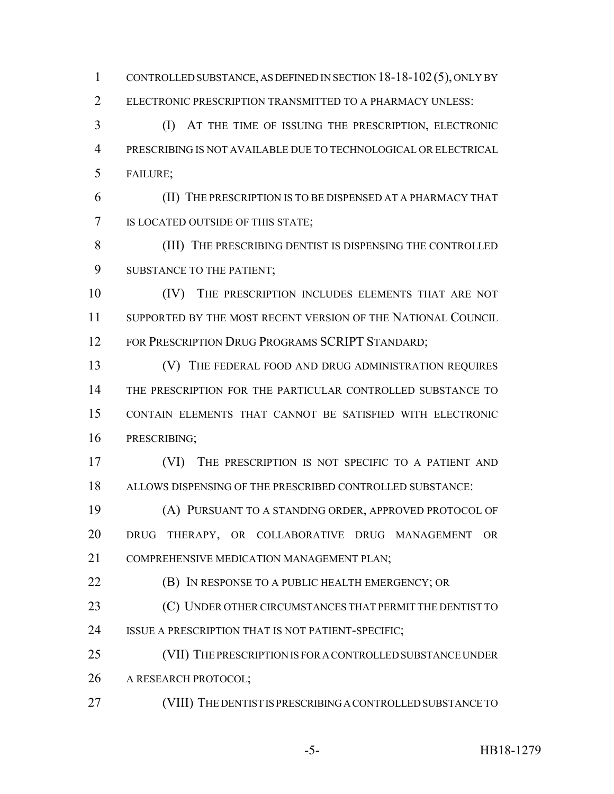CONTROLLED SUBSTANCE, AS DEFINED IN SECTION 18-18-102(5), ONLY BY ELECTRONIC PRESCRIPTION TRANSMITTED TO A PHARMACY UNLESS: (I) AT THE TIME OF ISSUING THE PRESCRIPTION, ELECTRONIC PRESCRIBING IS NOT AVAILABLE DUE TO TECHNOLOGICAL OR ELECTRICAL FAILURE; (II) THE PRESCRIPTION IS TO BE DISPENSED AT A PHARMACY THAT

IS LOCATED OUTSIDE OF THIS STATE;

 (III) THE PRESCRIBING DENTIST IS DISPENSING THE CONTROLLED SUBSTANCE TO THE PATIENT;

 (IV) THE PRESCRIPTION INCLUDES ELEMENTS THAT ARE NOT SUPPORTED BY THE MOST RECENT VERSION OF THE NATIONAL COUNCIL 12 FOR PRESCRIPTION DRUG PROGRAMS SCRIPT STANDARD;

**(V)** THE FEDERAL FOOD AND DRUG ADMINISTRATION REQUIRES THE PRESCRIPTION FOR THE PARTICULAR CONTROLLED SUBSTANCE TO CONTAIN ELEMENTS THAT CANNOT BE SATISFIED WITH ELECTRONIC PRESCRIBING;

 (VI) THE PRESCRIPTION IS NOT SPECIFIC TO A PATIENT AND ALLOWS DISPENSING OF THE PRESCRIBED CONTROLLED SUBSTANCE:

 (A) PURSUANT TO A STANDING ORDER, APPROVED PROTOCOL OF DRUG THERAPY, OR COLLABORATIVE DRUG MANAGEMENT OR COMPREHENSIVE MEDICATION MANAGEMENT PLAN;

**(B)** IN RESPONSE TO A PUBLIC HEALTH EMERGENCY; OR

**(C) UNDER OTHER CIRCUMSTANCES THAT PERMIT THE DENTIST TO** ISSUE A PRESCRIPTION THAT IS NOT PATIENT-SPECIFIC;

 (VII) THE PRESCRIPTION IS FOR A CONTROLLED SUBSTANCE UNDER 26 A RESEARCH PROTOCOL;

(VIII) THE DENTIST IS PRESCRIBING A CONTROLLED SUBSTANCE TO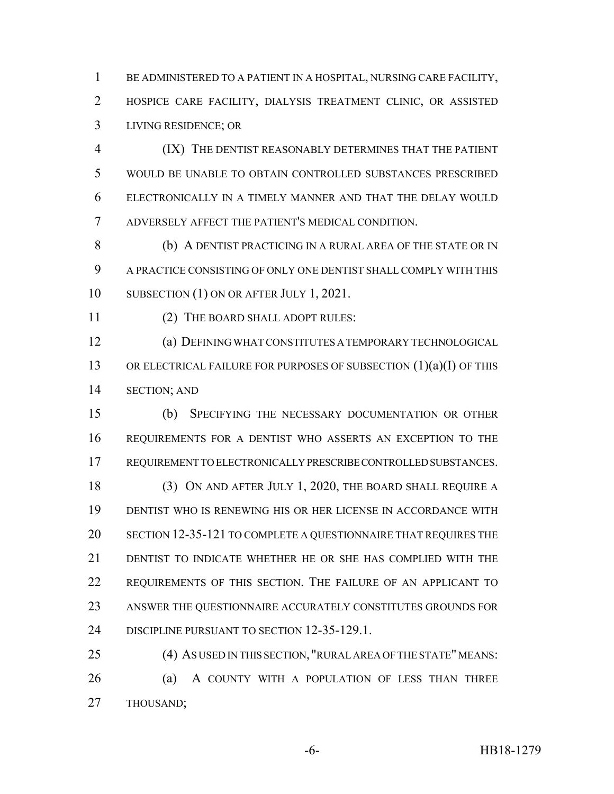BE ADMINISTERED TO A PATIENT IN A HOSPITAL, NURSING CARE FACILITY, HOSPICE CARE FACILITY, DIALYSIS TREATMENT CLINIC, OR ASSISTED LIVING RESIDENCE; OR

 (IX) THE DENTIST REASONABLY DETERMINES THAT THE PATIENT WOULD BE UNABLE TO OBTAIN CONTROLLED SUBSTANCES PRESCRIBED ELECTRONICALLY IN A TIMELY MANNER AND THAT THE DELAY WOULD ADVERSELY AFFECT THE PATIENT'S MEDICAL CONDITION.

 (b) A DENTIST PRACTICING IN A RURAL AREA OF THE STATE OR IN A PRACTICE CONSISTING OF ONLY ONE DENTIST SHALL COMPLY WITH THIS 10 SUBSECTION (1) ON OR AFTER JULY 1, 2021.

(2) THE BOARD SHALL ADOPT RULES:

 (a) DEFINING WHAT CONSTITUTES A TEMPORARY TECHNOLOGICAL 13 OR ELECTRICAL FAILURE FOR PURPOSES OF SUBSECTION (1)(a)(I) OF THIS SECTION; AND

 (b) SPECIFYING THE NECESSARY DOCUMENTATION OR OTHER REQUIREMENTS FOR A DENTIST WHO ASSERTS AN EXCEPTION TO THE REQUIREMENT TO ELECTRONICALLY PRESCRIBE CONTROLLED SUBSTANCES.

 (3) ON AND AFTER JULY 1, 2020, THE BOARD SHALL REQUIRE A DENTIST WHO IS RENEWING HIS OR HER LICENSE IN ACCORDANCE WITH SECTION 12-35-121 TO COMPLETE A QUESTIONNAIRE THAT REQUIRES THE DENTIST TO INDICATE WHETHER HE OR SHE HAS COMPLIED WITH THE REQUIREMENTS OF THIS SECTION. THE FAILURE OF AN APPLICANT TO ANSWER THE QUESTIONNAIRE ACCURATELY CONSTITUTES GROUNDS FOR DISCIPLINE PURSUANT TO SECTION 12-35-129.1.

 (4) AS USED IN THIS SECTION, "RURAL AREA OF THE STATE" MEANS: 26 (a) A COUNTY WITH A POPULATION OF LESS THAN THREE THOUSAND;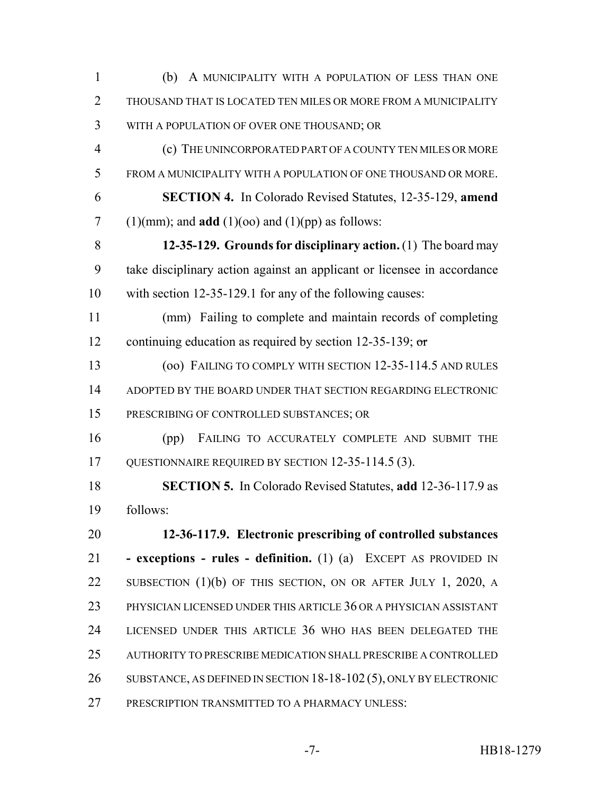(b) A MUNICIPALITY WITH A POPULATION OF LESS THAN ONE THOUSAND THAT IS LOCATED TEN MILES OR MORE FROM A MUNICIPALITY WITH A POPULATION OF OVER ONE THOUSAND; OR (c) THE UNINCORPORATED PART OF A COUNTY TEN MILES OR MORE FROM A MUNICIPALITY WITH A POPULATION OF ONE THOUSAND OR MORE. **SECTION 4.** In Colorado Revised Statutes, 12-35-129, **amend** 7 (1)(mm); and **add** (1)(oo) and (1)(pp) as follows: **12-35-129. Grounds for disciplinary action.** (1) The board may take disciplinary action against an applicant or licensee in accordance with section 12-35-129.1 for any of the following causes: (mm) Failing to complete and maintain records of completing 12 continuing education as required by section 12-35-139; or (oo) FAILING TO COMPLY WITH SECTION 12-35-114.5 AND RULES ADOPTED BY THE BOARD UNDER THAT SECTION REGARDING ELECTRONIC PRESCRIBING OF CONTROLLED SUBSTANCES; OR (pp) FAILING TO ACCURATELY COMPLETE AND SUBMIT THE 17 QUESTIONNAIRE REQUIRED BY SECTION 12-35-114.5 (3). **SECTION 5.** In Colorado Revised Statutes, **add** 12-36-117.9 as follows: **12-36-117.9. Electronic prescribing of controlled substances - exceptions - rules - definition.** (1) (a) EXCEPT AS PROVIDED IN SUBSECTION (1)(b) OF THIS SECTION, ON OR AFTER JULY 1, 2020, A PHYSICIAN LICENSED UNDER THIS ARTICLE 36 OR A PHYSICIAN ASSISTANT LICENSED UNDER THIS ARTICLE 36 WHO HAS BEEN DELEGATED THE AUTHORITY TO PRESCRIBE MEDICATION SHALL PRESCRIBE A CONTROLLED SUBSTANCE, AS DEFINED IN SECTION 18-18-102 (5), ONLY BY ELECTRONIC PRESCRIPTION TRANSMITTED TO A PHARMACY UNLESS: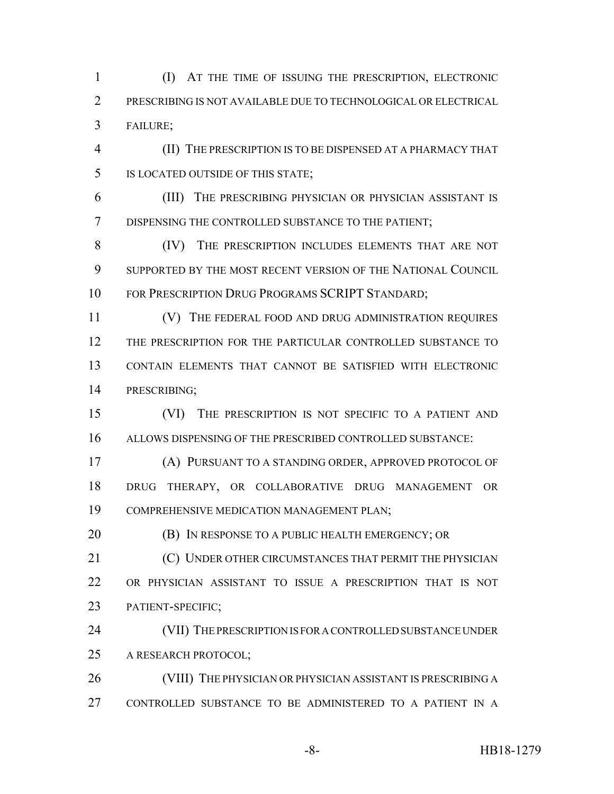(I) AT THE TIME OF ISSUING THE PRESCRIPTION, ELECTRONIC PRESCRIBING IS NOT AVAILABLE DUE TO TECHNOLOGICAL OR ELECTRICAL FAILURE;

 (II) THE PRESCRIPTION IS TO BE DISPENSED AT A PHARMACY THAT IS LOCATED OUTSIDE OF THIS STATE;

 (III) THE PRESCRIBING PHYSICIAN OR PHYSICIAN ASSISTANT IS DISPENSING THE CONTROLLED SUBSTANCE TO THE PATIENT;

 (IV) THE PRESCRIPTION INCLUDES ELEMENTS THAT ARE NOT SUPPORTED BY THE MOST RECENT VERSION OF THE NATIONAL COUNCIL FOR PRESCRIPTION DRUG PROGRAMS SCRIPT STANDARD;

11 (V) THE FEDERAL FOOD AND DRUG ADMINISTRATION REQUIRES THE PRESCRIPTION FOR THE PARTICULAR CONTROLLED SUBSTANCE TO CONTAIN ELEMENTS THAT CANNOT BE SATISFIED WITH ELECTRONIC PRESCRIBING;

 (VI) THE PRESCRIPTION IS NOT SPECIFIC TO A PATIENT AND ALLOWS DISPENSING OF THE PRESCRIBED CONTROLLED SUBSTANCE:

 (A) PURSUANT TO A STANDING ORDER, APPROVED PROTOCOL OF DRUG THERAPY, OR COLLABORATIVE DRUG MANAGEMENT OR COMPREHENSIVE MEDICATION MANAGEMENT PLAN;

**(B)** IN RESPONSE TO A PUBLIC HEALTH EMERGENCY; OR

**(C) UNDER OTHER CIRCUMSTANCES THAT PERMIT THE PHYSICIAN**  OR PHYSICIAN ASSISTANT TO ISSUE A PRESCRIPTION THAT IS NOT PATIENT-SPECIFIC;

 (VII) THE PRESCRIPTION IS FOR A CONTROLLED SUBSTANCE UNDER A RESEARCH PROTOCOL;

 (VIII) THE PHYSICIAN OR PHYSICIAN ASSISTANT IS PRESCRIBING A CONTROLLED SUBSTANCE TO BE ADMINISTERED TO A PATIENT IN A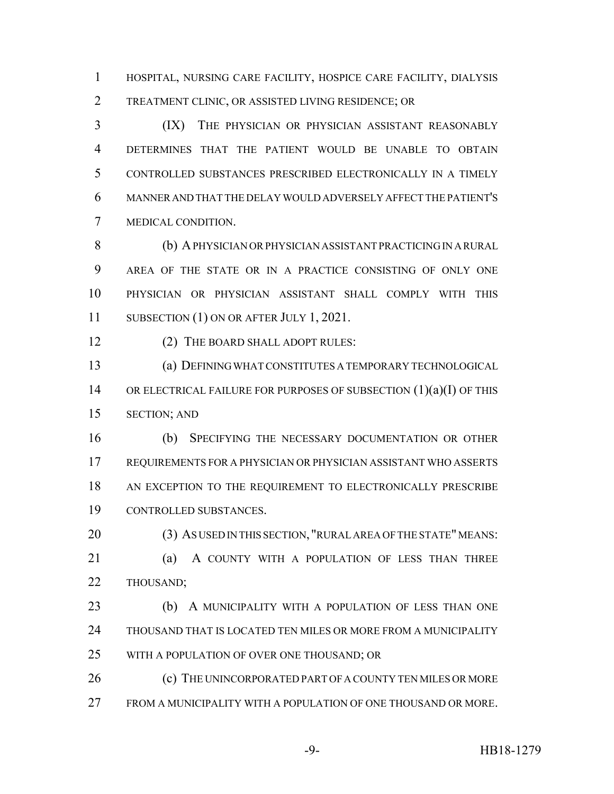HOSPITAL, NURSING CARE FACILITY, HOSPICE CARE FACILITY, DIALYSIS TREATMENT CLINIC, OR ASSISTED LIVING RESIDENCE; OR

 (IX) THE PHYSICIAN OR PHYSICIAN ASSISTANT REASONABLY DETERMINES THAT THE PATIENT WOULD BE UNABLE TO OBTAIN CONTROLLED SUBSTANCES PRESCRIBED ELECTRONICALLY IN A TIMELY MANNER AND THAT THE DELAY WOULD ADVERSELY AFFECT THE PATIENT'S MEDICAL CONDITION.

 (b) A PHYSICIAN OR PHYSICIAN ASSISTANT PRACTICING IN A RURAL AREA OF THE STATE OR IN A PRACTICE CONSISTING OF ONLY ONE PHYSICIAN OR PHYSICIAN ASSISTANT SHALL COMPLY WITH THIS 11 SUBSECTION (1) ON OR AFTER JULY 1, 2021.

(2) THE BOARD SHALL ADOPT RULES:

 (a) DEFINING WHAT CONSTITUTES A TEMPORARY TECHNOLOGICAL 14 OR ELECTRICAL FAILURE FOR PURPOSES OF SUBSECTION  $(1)(a)(I)$  OF THIS SECTION; AND

 (b) SPECIFYING THE NECESSARY DOCUMENTATION OR OTHER REQUIREMENTS FOR A PHYSICIAN OR PHYSICIAN ASSISTANT WHO ASSERTS 18 AN EXCEPTION TO THE REQUIREMENT TO ELECTRONICALLY PRESCRIBE CONTROLLED SUBSTANCES.

 (3) AS USED IN THIS SECTION, "RURAL AREA OF THE STATE" MEANS: 21 (a) A COUNTY WITH A POPULATION OF LESS THAN THREE THOUSAND;

 (b) A MUNICIPALITY WITH A POPULATION OF LESS THAN ONE THOUSAND THAT IS LOCATED TEN MILES OR MORE FROM A MUNICIPALITY WITH A POPULATION OF OVER ONE THOUSAND; OR

26 (c) THE UNINCORPORATED PART OF A COUNTY TEN MILES OR MORE FROM A MUNICIPALITY WITH A POPULATION OF ONE THOUSAND OR MORE.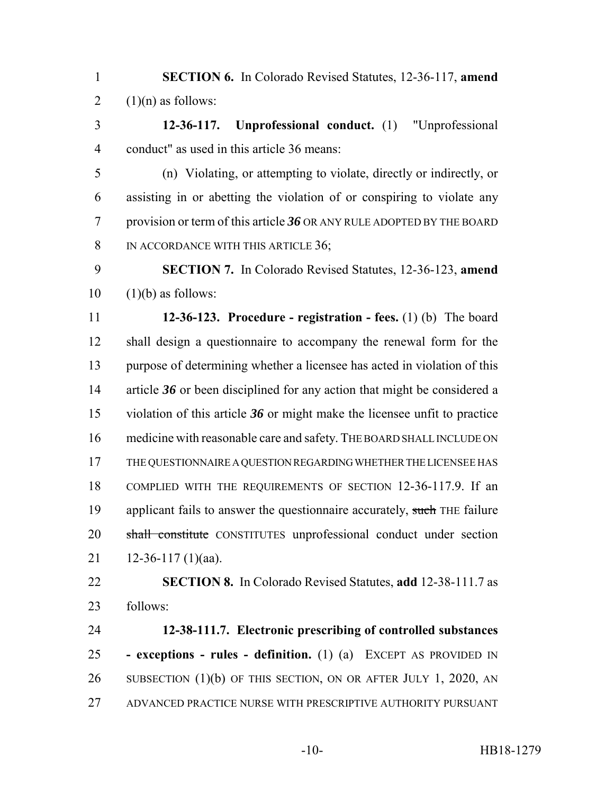**SECTION 6.** In Colorado Revised Statutes, 12-36-117, **amend** 2  $(1)(n)$  as follows:

 **12-36-117. Unprofessional conduct.** (1) "Unprofessional conduct" as used in this article 36 means:

 (n) Violating, or attempting to violate, directly or indirectly, or assisting in or abetting the violation of or conspiring to violate any provision or term of this article *36* OR ANY RULE ADOPTED BY THE BOARD 8 IN ACCORDANCE WITH THIS ARTICLE 36;

 **SECTION 7.** In Colorado Revised Statutes, 12-36-123, **amend**  $10 \quad (1)(b)$  as follows:

 **12-36-123. Procedure - registration - fees.** (1) (b) The board shall design a questionnaire to accompany the renewal form for the purpose of determining whether a licensee has acted in violation of this 14 article 36 or been disciplined for any action that might be considered a violation of this article *36* or might make the licensee unfit to practice medicine with reasonable care and safety. THE BOARD SHALL INCLUDE ON THE QUESTIONNAIRE A QUESTION REGARDING WHETHER THE LICENSEE HAS COMPLIED WITH THE REQUIREMENTS OF SECTION 12-36-117.9. If an 19 applicant fails to answer the questionnaire accurately, such THE failure 20 shall constitute CONSTITUTES unprofessional conduct under section  $12-36-117(1)(aa)$ .

 **SECTION 8.** In Colorado Revised Statutes, **add** 12-38-111.7 as follows:

 **12-38-111.7. Electronic prescribing of controlled substances - exceptions - rules - definition.** (1) (a) EXCEPT AS PROVIDED IN 26 SUBSECTION (1)(b) OF THIS SECTION, ON OR AFTER JULY 1, 2020, AN ADVANCED PRACTICE NURSE WITH PRESCRIPTIVE AUTHORITY PURSUANT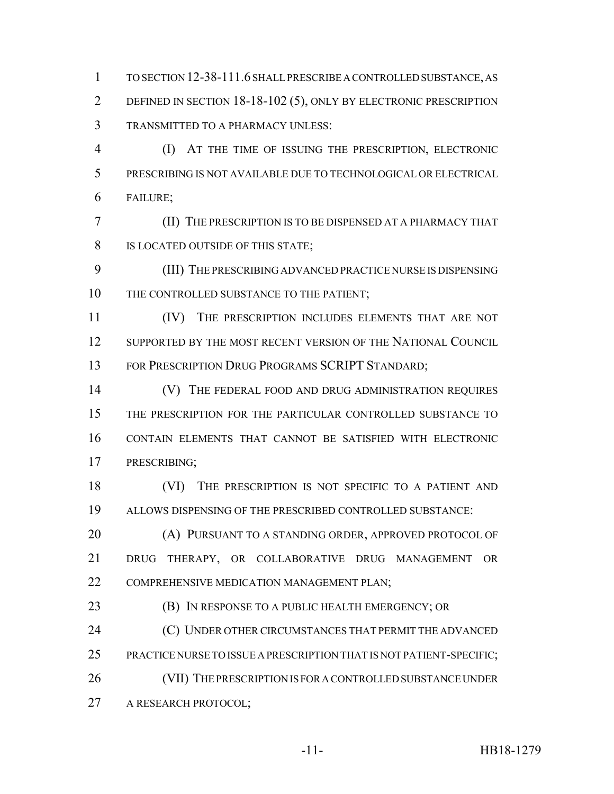TO SECTION 12-38-111.6 SHALL PRESCRIBE A CONTROLLED SUBSTANCE, AS DEFINED IN SECTION 18-18-102 (5), ONLY BY ELECTRONIC PRESCRIPTION TRANSMITTED TO A PHARMACY UNLESS:

 (I) AT THE TIME OF ISSUING THE PRESCRIPTION, ELECTRONIC PRESCRIBING IS NOT AVAILABLE DUE TO TECHNOLOGICAL OR ELECTRICAL FAILURE;

 (II) THE PRESCRIPTION IS TO BE DISPENSED AT A PHARMACY THAT IS LOCATED OUTSIDE OF THIS STATE;

 (III) THE PRESCRIBING ADVANCED PRACTICE NURSE IS DISPENSING 10 THE CONTROLLED SUBSTANCE TO THE PATIENT;

 (IV) THE PRESCRIPTION INCLUDES ELEMENTS THAT ARE NOT 12 SUPPORTED BY THE MOST RECENT VERSION OF THE NATIONAL COUNCIL 13 FOR PRESCRIPTION DRUG PROGRAMS SCRIPT STANDARD;

14 (V) THE FEDERAL FOOD AND DRUG ADMINISTRATION REQUIRES THE PRESCRIPTION FOR THE PARTICULAR CONTROLLED SUBSTANCE TO CONTAIN ELEMENTS THAT CANNOT BE SATISFIED WITH ELECTRONIC PRESCRIBING;

18 (VI) THE PRESCRIPTION IS NOT SPECIFIC TO A PATIENT AND ALLOWS DISPENSING OF THE PRESCRIBED CONTROLLED SUBSTANCE:

**(A) PURSUANT TO A STANDING ORDER, APPROVED PROTOCOL OF**  DRUG THERAPY, OR COLLABORATIVE DRUG MANAGEMENT OR COMPREHENSIVE MEDICATION MANAGEMENT PLAN;

(B) IN RESPONSE TO A PUBLIC HEALTH EMERGENCY; OR

**(C) UNDER OTHER CIRCUMSTANCES THAT PERMIT THE ADVANCED** 

PRACTICE NURSE TO ISSUE A PRESCRIPTION THAT IS NOT PATIENT-SPECIFIC;

 (VII) THE PRESCRIPTION IS FOR A CONTROLLED SUBSTANCE UNDER A RESEARCH PROTOCOL;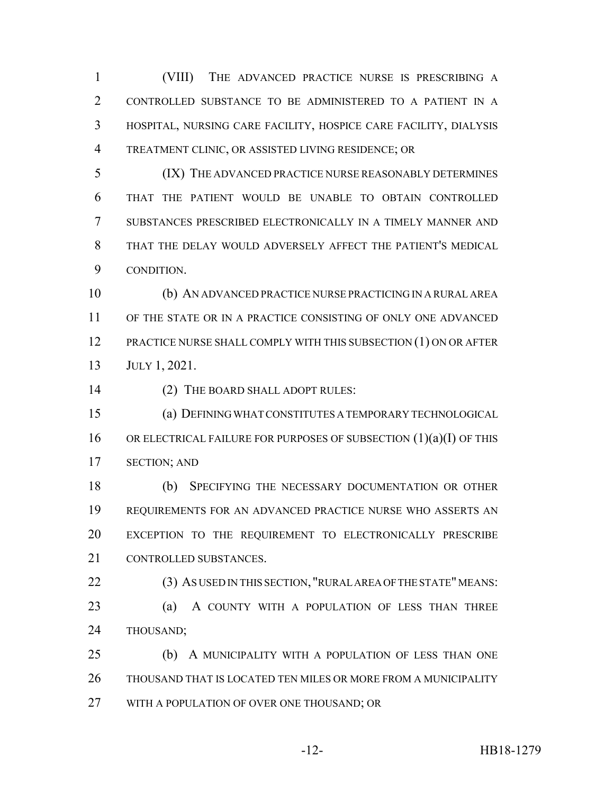(VIII) THE ADVANCED PRACTICE NURSE IS PRESCRIBING A CONTROLLED SUBSTANCE TO BE ADMINISTERED TO A PATIENT IN A HOSPITAL, NURSING CARE FACILITY, HOSPICE CARE FACILITY, DIALYSIS TREATMENT CLINIC, OR ASSISTED LIVING RESIDENCE; OR

 (IX) THE ADVANCED PRACTICE NURSE REASONABLY DETERMINES THAT THE PATIENT WOULD BE UNABLE TO OBTAIN CONTROLLED SUBSTANCES PRESCRIBED ELECTRONICALLY IN A TIMELY MANNER AND THAT THE DELAY WOULD ADVERSELY AFFECT THE PATIENT'S MEDICAL CONDITION.

 (b) AN ADVANCED PRACTICE NURSE PRACTICING IN A RURAL AREA OF THE STATE OR IN A PRACTICE CONSISTING OF ONLY ONE ADVANCED PRACTICE NURSE SHALL COMPLY WITH THIS SUBSECTION (1) ON OR AFTER JULY 1, 2021.

(2) THE BOARD SHALL ADOPT RULES:

 (a) DEFINING WHAT CONSTITUTES A TEMPORARY TECHNOLOGICAL 16 OR ELECTRICAL FAILURE FOR PURPOSES OF SUBSECTION (1)(a)(I) OF THIS SECTION; AND

 (b) SPECIFYING THE NECESSARY DOCUMENTATION OR OTHER REQUIREMENTS FOR AN ADVANCED PRACTICE NURSE WHO ASSERTS AN EXCEPTION TO THE REQUIREMENT TO ELECTRONICALLY PRESCRIBE CONTROLLED SUBSTANCES.

 (3) AS USED IN THIS SECTION, "RURAL AREA OF THE STATE" MEANS: **(a)** A COUNTY WITH A POPULATION OF LESS THAN THREE THOUSAND;

 (b) A MUNICIPALITY WITH A POPULATION OF LESS THAN ONE THOUSAND THAT IS LOCATED TEN MILES OR MORE FROM A MUNICIPALITY WITH A POPULATION OF OVER ONE THOUSAND; OR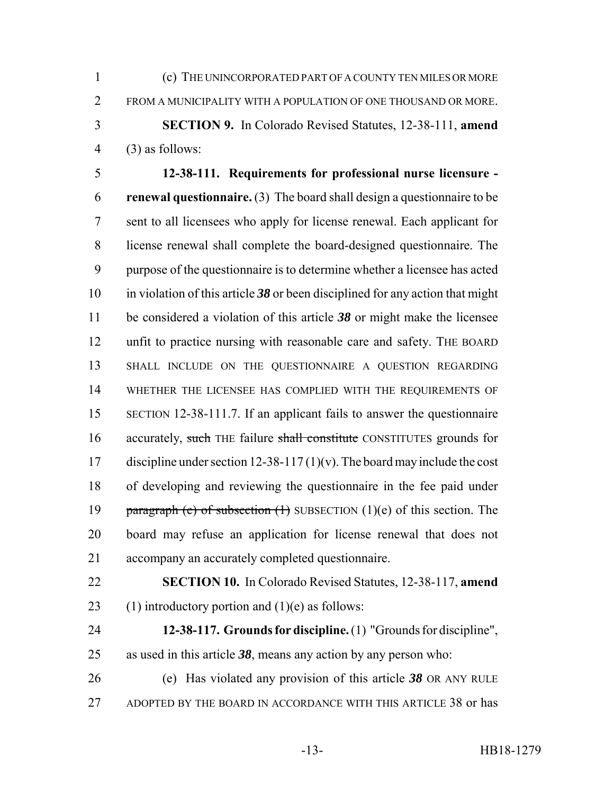(c) THE UNINCORPORATED PART OF A COUNTY TEN MILES OR MORE FROM A MUNICIPALITY WITH A POPULATION OF ONE THOUSAND OR MORE. **SECTION 9.** In Colorado Revised Statutes, 12-38-111, **amend** (3) as follows:

 **12-38-111. Requirements for professional nurse licensure - renewal questionnaire.** (3) The board shall design a questionnaire to be sent to all licensees who apply for license renewal. Each applicant for license renewal shall complete the board-designed questionnaire. The purpose of the questionnaire is to determine whether a licensee has acted in violation of this article *38* or been disciplined for any action that might be considered a violation of this article *38* or might make the licensee unfit to practice nursing with reasonable care and safety. THE BOARD SHALL INCLUDE ON THE QUESTIONNAIRE A QUESTION REGARDING WHETHER THE LICENSEE HAS COMPLIED WITH THE REQUIREMENTS OF SECTION 12-38-111.7. If an applicant fails to answer the questionnaire 16 accurately, such THE failure shall constitute CONSTITUTES grounds for 17 discipline under section 12-38-117(1)(v). The board may include the cost of developing and reviewing the questionnaire in the fee paid under 19 paragraph (e) of subsection  $(1)$  SUBSECTION  $(1)(e)$  of this section. The board may refuse an application for license renewal that does not accompany an accurately completed questionnaire.

 **SECTION 10.** In Colorado Revised Statutes, 12-38-117, **amend** 23 (1) introductory portion and  $(1)(e)$  as follows:

 **12-38-117. Grounds for discipline.** (1) "Grounds for discipline", as used in this article *38*, means any action by any person who:

 (e) Has violated any provision of this article *38* OR ANY RULE ADOPTED BY THE BOARD IN ACCORDANCE WITH THIS ARTICLE 38 or has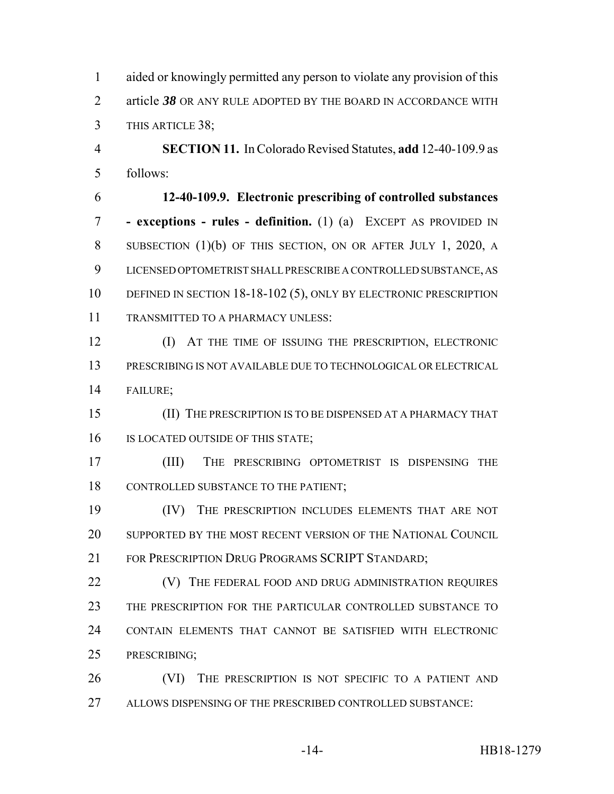aided or knowingly permitted any person to violate any provision of this article *38* OR ANY RULE ADOPTED BY THE BOARD IN ACCORDANCE WITH THIS ARTICLE 38;

 **SECTION 11.** In Colorado Revised Statutes, **add** 12-40-109.9 as follows:

 **12-40-109.9. Electronic prescribing of controlled substances - exceptions - rules - definition.** (1) (a) EXCEPT AS PROVIDED IN SUBSECTION (1)(b) OF THIS SECTION, ON OR AFTER JULY 1, 2020, A LICENSED OPTOMETRIST SHALL PRESCRIBE A CONTROLLED SUBSTANCE, AS 10 DEFINED IN SECTION 18-18-102 (5), ONLY BY ELECTRONIC PRESCRIPTION TRANSMITTED TO A PHARMACY UNLESS:

 (I) AT THE TIME OF ISSUING THE PRESCRIPTION, ELECTRONIC PRESCRIBING IS NOT AVAILABLE DUE TO TECHNOLOGICAL OR ELECTRICAL FAILURE;

 (II) THE PRESCRIPTION IS TO BE DISPENSED AT A PHARMACY THAT 16 IS LOCATED OUTSIDE OF THIS STATE;

 (III) THE PRESCRIBING OPTOMETRIST IS DISPENSING THE CONTROLLED SUBSTANCE TO THE PATIENT;

 (IV) THE PRESCRIPTION INCLUDES ELEMENTS THAT ARE NOT SUPPORTED BY THE MOST RECENT VERSION OF THE NATIONAL COUNCIL 21 FOR PRESCRIPTION DRUG PROGRAMS SCRIPT STANDARD;

**(V)** THE FEDERAL FOOD AND DRUG ADMINISTRATION REQUIRES THE PRESCRIPTION FOR THE PARTICULAR CONTROLLED SUBSTANCE TO CONTAIN ELEMENTS THAT CANNOT BE SATISFIED WITH ELECTRONIC PRESCRIBING;

26 (VI) THE PRESCRIPTION IS NOT SPECIFIC TO A PATIENT AND ALLOWS DISPENSING OF THE PRESCRIBED CONTROLLED SUBSTANCE: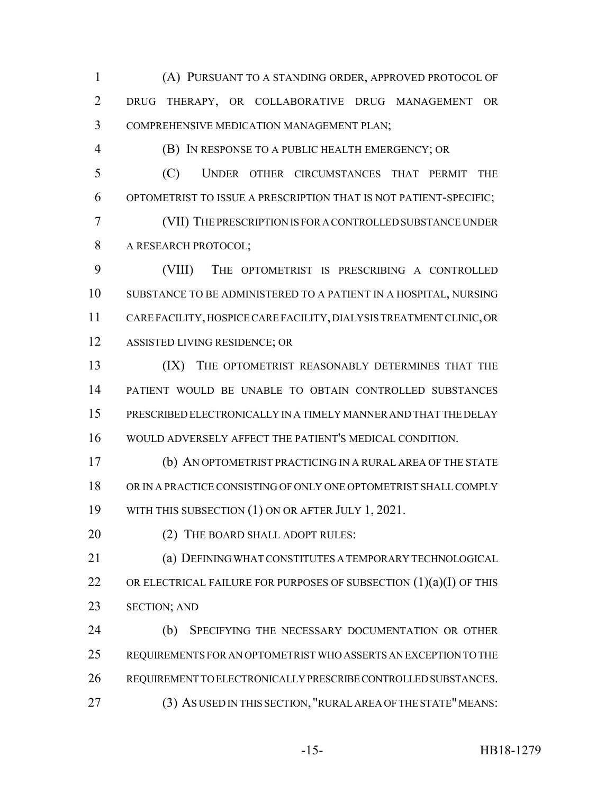(A) PURSUANT TO A STANDING ORDER, APPROVED PROTOCOL OF DRUG THERAPY, OR COLLABORATIVE DRUG MANAGEMENT OR COMPREHENSIVE MEDICATION MANAGEMENT PLAN;

(B) IN RESPONSE TO A PUBLIC HEALTH EMERGENCY; OR

 (C) UNDER OTHER CIRCUMSTANCES THAT PERMIT THE OPTOMETRIST TO ISSUE A PRESCRIPTION THAT IS NOT PATIENT-SPECIFIC;

 (VII) THE PRESCRIPTION IS FOR A CONTROLLED SUBSTANCE UNDER A RESEARCH PROTOCOL;

 (VIII) THE OPTOMETRIST IS PRESCRIBING A CONTROLLED SUBSTANCE TO BE ADMINISTERED TO A PATIENT IN A HOSPITAL, NURSING CARE FACILITY, HOSPICE CARE FACILITY, DIALYSIS TREATMENT CLINIC, OR ASSISTED LIVING RESIDENCE; OR

 (IX) THE OPTOMETRIST REASONABLY DETERMINES THAT THE PATIENT WOULD BE UNABLE TO OBTAIN CONTROLLED SUBSTANCES PRESCRIBED ELECTRONICALLY IN A TIMELY MANNER AND THAT THE DELAY WOULD ADVERSELY AFFECT THE PATIENT'S MEDICAL CONDITION.

 (b) AN OPTOMETRIST PRACTICING IN A RURAL AREA OF THE STATE OR IN A PRACTICE CONSISTING OF ONLY ONE OPTOMETRIST SHALL COMPLY WITH THIS SUBSECTION (1) ON OR AFTER JULY 1, 2021.

20 (2) THE BOARD SHALL ADOPT RULES:

 (a) DEFINING WHAT CONSTITUTES A TEMPORARY TECHNOLOGICAL 22 OR ELECTRICAL FAILURE FOR PURPOSES OF SUBSECTION  $(1)(a)(I)$  OF THIS SECTION; AND

 (b) SPECIFYING THE NECESSARY DOCUMENTATION OR OTHER REQUIREMENTS FOR AN OPTOMETRIST WHO ASSERTS AN EXCEPTION TO THE REQUIREMENT TO ELECTRONICALLY PRESCRIBE CONTROLLED SUBSTANCES. (3) AS USED IN THIS SECTION, "RURAL AREA OF THE STATE" MEANS: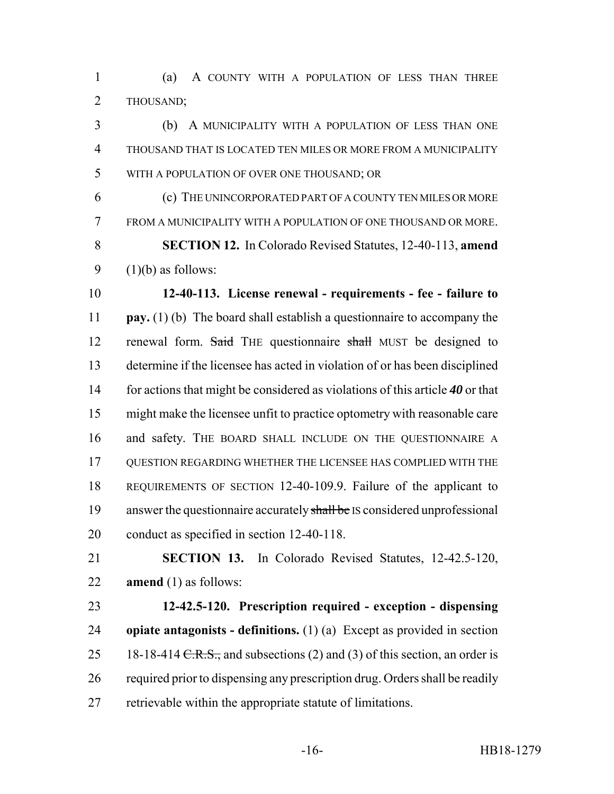(a) A COUNTY WITH A POPULATION OF LESS THAN THREE THOUSAND;

 (b) A MUNICIPALITY WITH A POPULATION OF LESS THAN ONE THOUSAND THAT IS LOCATED TEN MILES OR MORE FROM A MUNICIPALITY WITH A POPULATION OF OVER ONE THOUSAND; OR

 (c) THE UNINCORPORATED PART OF A COUNTY TEN MILES OR MORE FROM A MUNICIPALITY WITH A POPULATION OF ONE THOUSAND OR MORE. **SECTION 12.** In Colorado Revised Statutes, 12-40-113, **amend**  $(1)(b)$  as follows:

 **12-40-113. License renewal - requirements - fee - failure to pay.** (1) (b) The board shall establish a questionnaire to accompany the 12 renewal form. Said THE questionnaire shall MUST be designed to determine if the licensee has acted in violation of or has been disciplined for actions that might be considered as violations of this article *40* or that might make the licensee unfit to practice optometry with reasonable care 16 and safety. THE BOARD SHALL INCLUDE ON THE QUESTIONNAIRE A QUESTION REGARDING WHETHER THE LICENSEE HAS COMPLIED WITH THE REQUIREMENTS OF SECTION 12-40-109.9. Failure of the applicant to 19 answer the questionnaire accurately shall be IS considered unprofessional conduct as specified in section 12-40-118.

 **SECTION 13.** In Colorado Revised Statutes, 12-42.5-120, **amend** (1) as follows:

 **12-42.5-120. Prescription required - exception - dispensing opiate antagonists - definitions.** (1) (a) Except as provided in section 25 18-18-414 <del>C.R.S.,</del> and subsections (2) and (3) of this section, an order is required prior to dispensing any prescription drug. Orders shall be readily retrievable within the appropriate statute of limitations.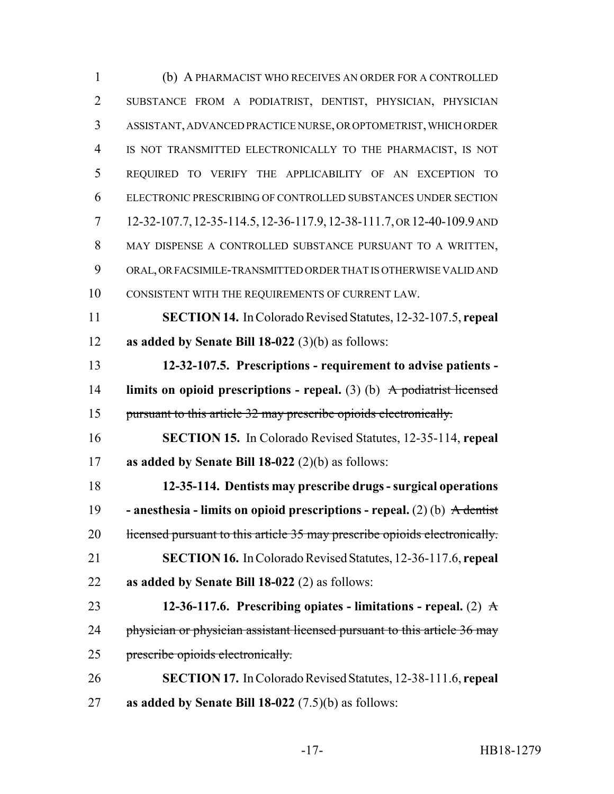| $\mathbf{1}$   | (b) A PHARMACIST WHO RECEIVES AN ORDER FOR A CONTROLLED                                      |
|----------------|----------------------------------------------------------------------------------------------|
| $\overline{2}$ | SUBSTANCE FROM A PODIATRIST, DENTIST, PHYSICIAN, PHYSICIAN                                   |
| 3              | ASSISTANT, ADVANCED PRACTICE NURSE, OR OPTOMETRIST, WHICH ORDER                              |
| 4              | IS NOT TRANSMITTED ELECTRONICALLY TO THE PHARMACIST, IS NOT                                  |
| 5              | REQUIRED TO VERIFY THE APPLICABILITY OF AN EXCEPTION TO                                      |
| 6              | ELECTRONIC PRESCRIBING OF CONTROLLED SUBSTANCES UNDER SECTION                                |
| 7              | 12-32-107.7, 12-35-114.5, 12-36-117.9, 12-38-111.7, OR 12-40-109.9 AND                       |
| 8              | MAY DISPENSE A CONTROLLED SUBSTANCE PURSUANT TO A WRITTEN,                                   |
| 9              | ORAL, OR FACSIMILE-TRANSMITTED ORDER THAT IS OTHERWISE VALID AND                             |
| 10             | CONSISTENT WITH THE REQUIREMENTS OF CURRENT LAW.                                             |
| 11             | <b>SECTION 14.</b> In Colorado Revised Statutes, 12-32-107.5, repeal                         |
| 12             | as added by Senate Bill $18-022$ (3)(b) as follows:                                          |
| 13             | 12-32-107.5. Prescriptions - requirement to advise patients -                                |
| 14             | limits on opioid prescriptions - repeal. $(3)$ (b) A podiatrist licensed                     |
| 15             | pursuant to this article 32 may prescribe opioids electronically.                            |
| 16             | <b>SECTION 15.</b> In Colorado Revised Statutes, 12-35-114, repeal                           |
| 17             | as added by Senate Bill $18-022$ (2)(b) as follows:                                          |
| 18             | 12-35-114. Dentists may prescribe drugs - surgical operations                                |
| 19             | - anesthesia - limits on opioid prescriptions - repeal. (2) (b) $\overrightarrow{A}$ dentist |
| 20             | licensed pursuant to this article 35 may prescribe opioids electronically.                   |
| 21             | <b>SECTION 16.</b> In Colorado Revised Statutes, 12-36-117.6, repeal                         |
| 22             | as added by Senate Bill $18-022$ (2) as follows:                                             |
| 23             | 12-36-117.6. Prescribing opiates - limitations - repeal. (2) $\mathbf{\hat{A}}$              |
| 24             | physician or physician assistant licensed pursuant to this article 36 may                    |
| 25             | prescribe opioids electronically.                                                            |
| 26             | <b>SECTION 17.</b> In Colorado Revised Statutes, 12-38-111.6, repeal                         |
| 27             | as added by Senate Bill $18-022$ (7.5)(b) as follows:                                        |

-17- HB18-1279